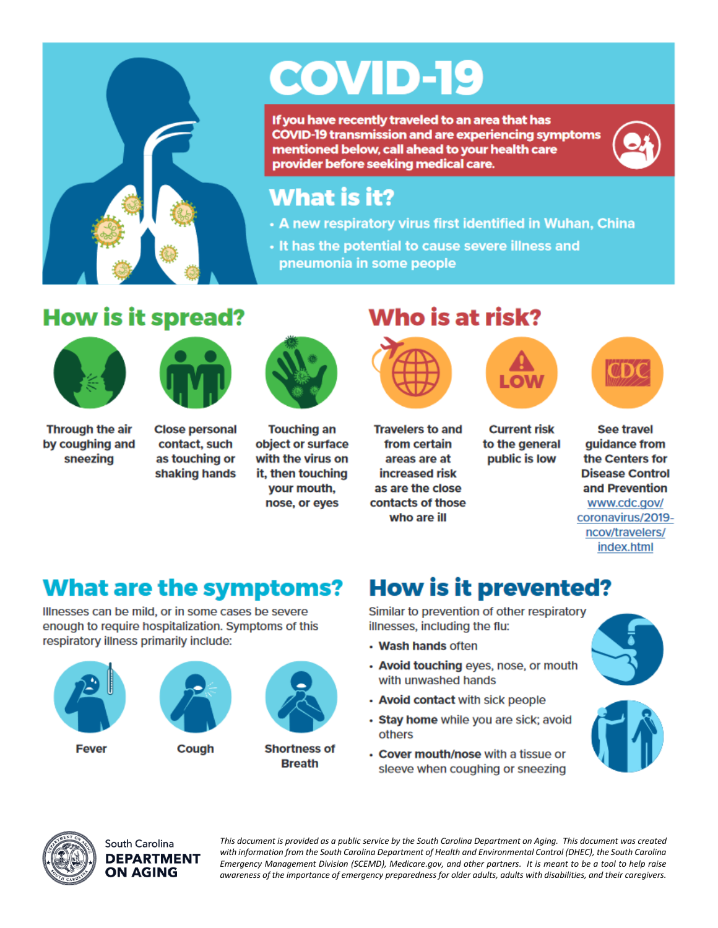

# **COVID-19**

If you have recently traveled to an area that has **COVID-19 transmission and are experiencing symptoms** mentioned below, call ahead to your health care provider before seeking medical care.



### What is it?

- A new respiratory virus first identified in Wuhan, China
- . It has the potential to cause severe illness and pneumonia in some people

# **How is it spread?**





Through the air by coughing and sneezing

**Close personal** contact, such as touching or shaking hands



**Touching an** object or surface with the virus on it, then touching your mouth, nose, or eyes

## Who is at risk?



**Travelers to and** 

from certain

areas are at

increased risk

as are the close

contacts of those

who are ill

**Current risk** 

to the general

public is low



**See travel** guidance from the Centers for **Disease Control** and Prevention www.cdc.gov/ coronavirus/2019ncov/travelers/ index.html

# **What are the symptoms?**

Illnesses can be mild, or in some cases be severe enough to require hospitalization. Symptoms of this respiratory illness primarily include:



**Fever** 

Cough



**Shortness of Breath** 

# **How is it prevented?**

Similar to prevention of other respiratory illnesses, including the flu:

- Wash hands often
- Avoid touching eyes, nose, or mouth with unwashed hands
- Avoid contact with sick people
- · Stay home while you are sick; avoid others
- Cover mouth/nose with a tissue or sleeve when coughing or sneezing







South Carolina **DEPARTMENT** ON AGING

This document is provided as a public service by the South Carolina Department on Aging. This document was created with information from the South Carolina Department of Health and Environmental Control (DHEC), the South Carolina Emergency Management Division (SCEMD), Medicare.gov, and other partners. It is meant to be a tool to help raise awareness of the importance of emergency preparedness for older adults, adults with disabilities, and their caregivers.